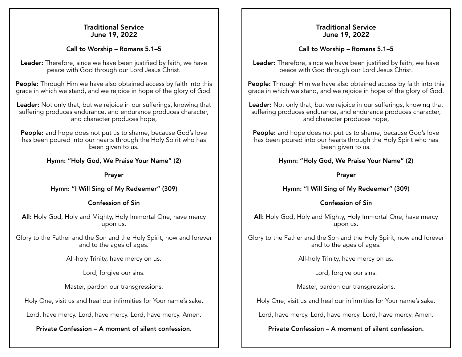## Traditional Service June 19, 2022

## Call to Worship – Romans 5.1–5

Leader: Therefore, since we have been justified by faith, we have peace with God through our Lord Jesus Christ.

People: Through Him we have also obtained access by faith into this grace in which we stand, and we rejoice in hope of the glory of God.

Leader: Not only that, but we rejoice in our sufferings, knowing that suffering produces endurance, and endurance produces character, and character produces hope,

People: and hope does not put us to shame, because God's love has been poured into our hearts through the Holy Spirit who has been given to us.

# Hymn: "Holy God, We Praise Your Name" (2)

#### Prayer

# Hymn: "I Will Sing of My Redeemer" (309)

## Confession of Sin

All: Holy God, Holy and Mighty, Holy Immortal One, have mercy upon us.

Glory to the Father and the Son and the Holy Spirit, now and forever and to the ages of ages.

All-holy Trinity, have mercy on us.

Lord, forgive our sins.

Master, pardon our transgressions.

Holy One, visit us and heal our infirmities for Your name's sake.

Lord, have mercy. Lord, have mercy. Lord, have mercy. Amen.

Private Confession – A moment of silent confession.